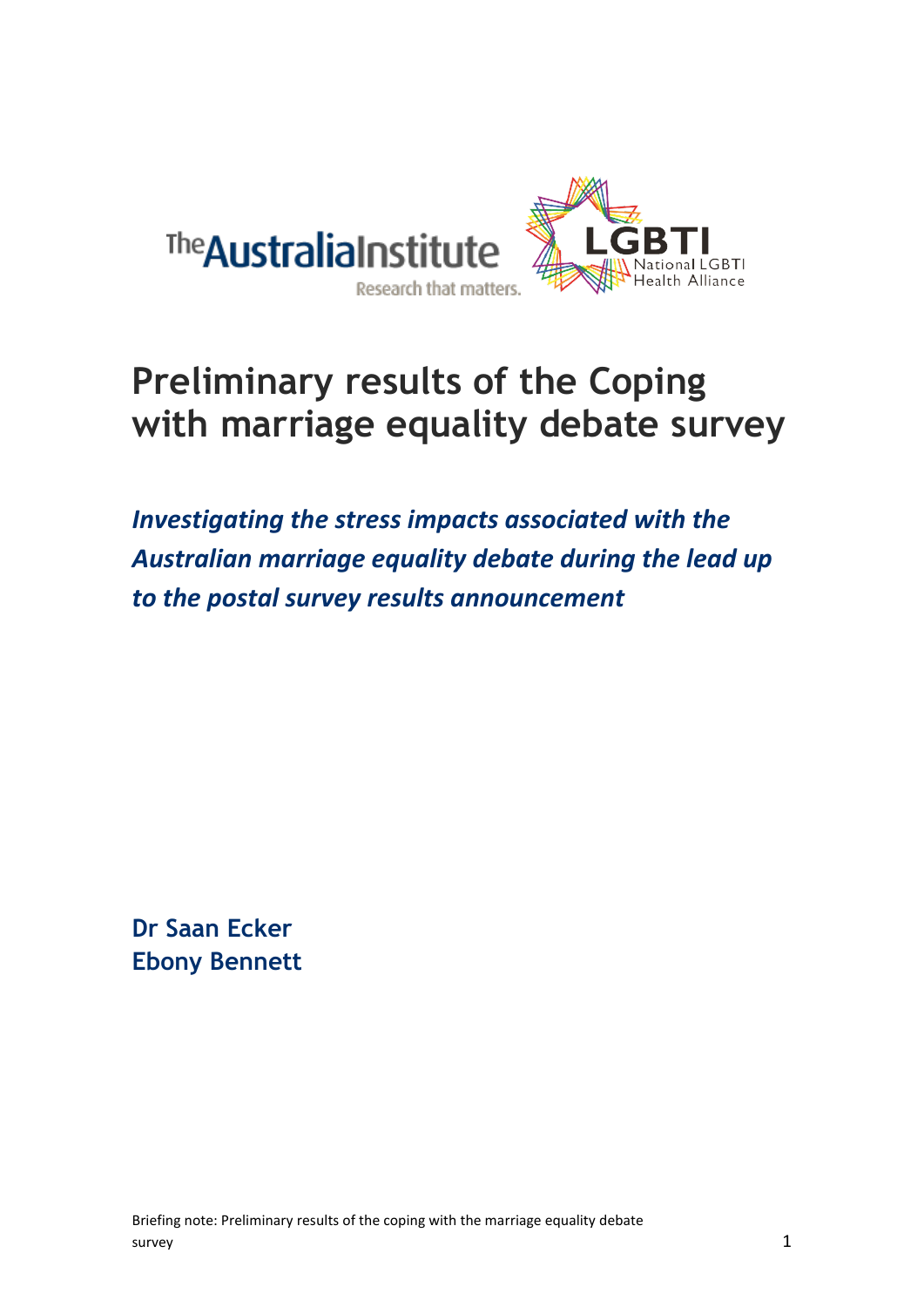

# **Preliminary results of the Coping with marriage equality debate survey**

*Investigating the stress impacts associated with the Australian marriage equality debate during the lead up to the postal survey results announcement*

**Dr Saan Ecker Ebony Bennett**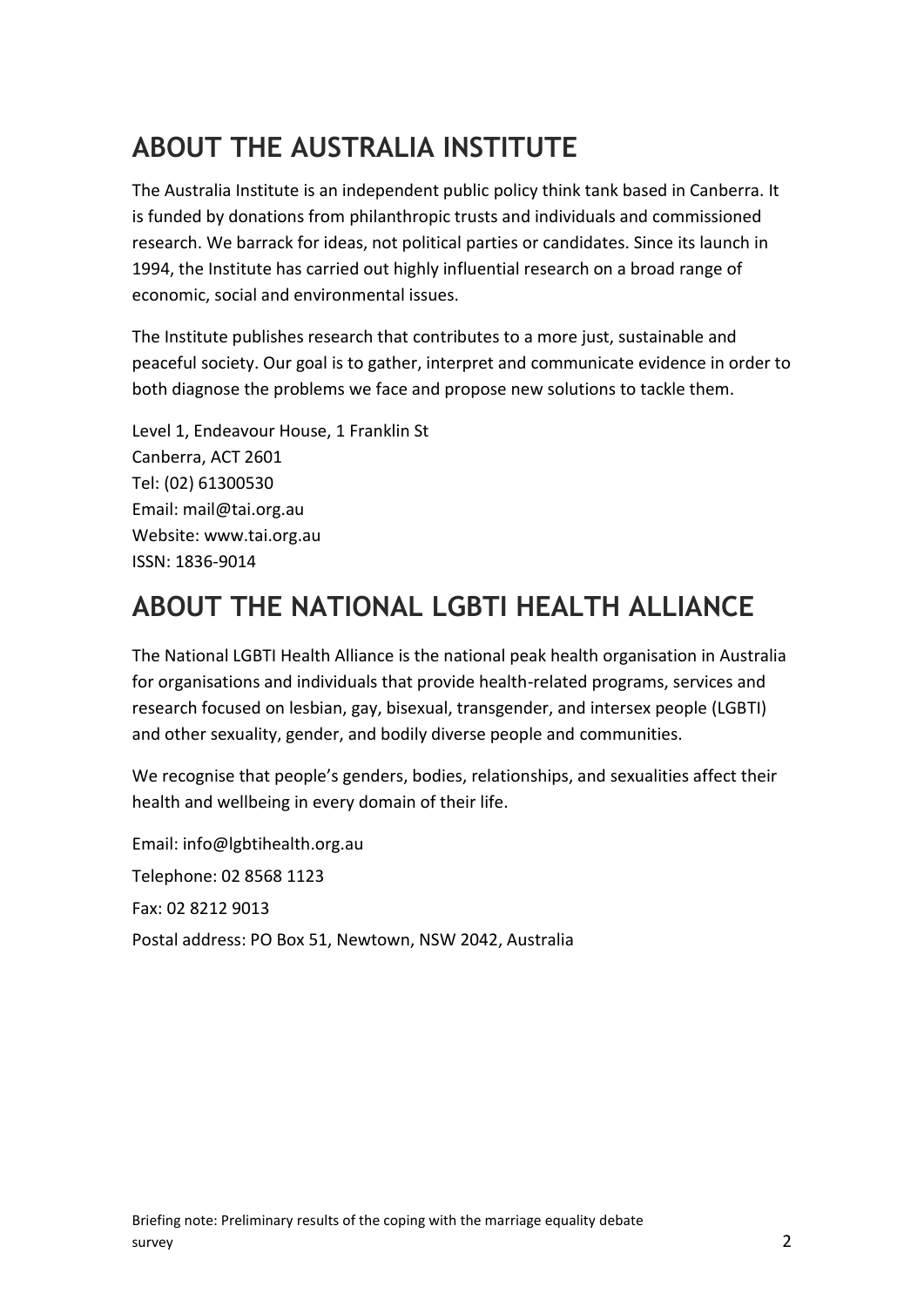### **ABOUT THE AUSTRALIA INSTITUTE**

The Australia Institute is an independent public policy think tank based in Canberra. It is funded by donations from philanthropic trusts and individuals and commissioned research. We barrack for ideas, not political parties or candidates. Since its launch in 1994, the Institute has carried out highly influential research on a broad range of economic, social and environmental issues.

The Institute publishes research that contributes to a more just, sustainable and peaceful society. Our goal is to gather, interpret and communicate evidence in order to both diagnose the problems we face and propose new solutions to tackle them.

Level 1, Endeavour House, 1 Franklin St Canberra, ACT 2601 Tel: (02) 61300530 Email: mail@tai.org.au Website: www.tai.org.au ISSN: 1836-9014

### **ABOUT THE NATIONAL LGBTI HEALTH ALLIANCE**

The National LGBTI Health Alliance is the national peak health organisation in Australia for organisations and individuals that provide health-related programs, services and research focused on lesbian, gay, bisexual, transgender, and intersex people (LGBTI) and other sexuality, gender, and bodily diverse people and communities.

We recognise that people's genders, bodies, relationships, and sexualities affect their health and wellbeing in every domain of their life.

Email: info@lgbtihealth.org.au Telephone: 02 8568 1123 Fax: 02 8212 9013 Postal address: PO Box 51, Newtown, NSW 2042, Australia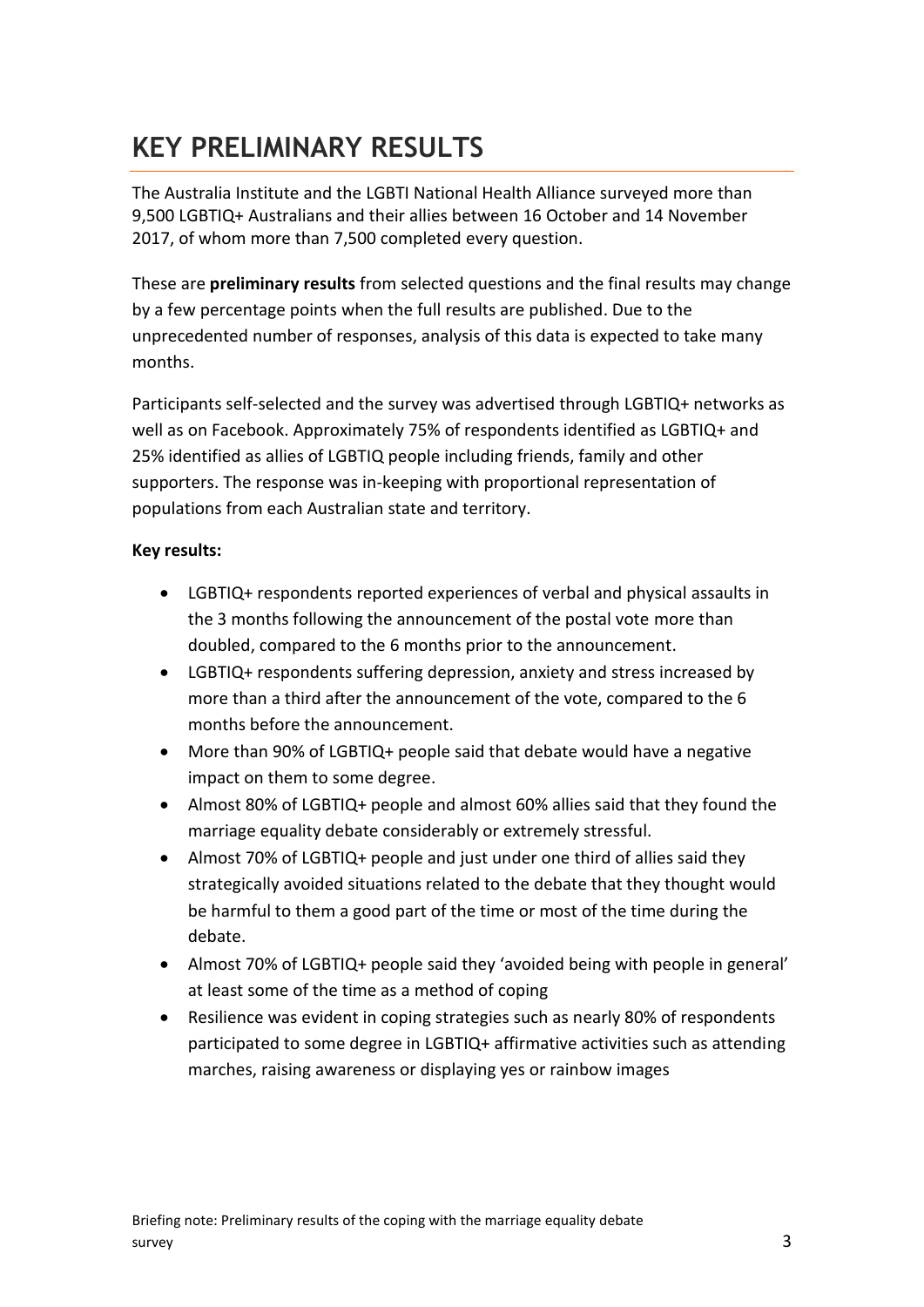### **KEY PRELIMINARY RESULTS**

The Australia Institute and the LGBTI National Health Alliance surveyed more than 9,500 LGBTIQ+ Australians and their allies between 16 October and 14 November 2017, of whom more than 7,500 completed every question.

These are **preliminary results** from selected questions and the final results may change by a few percentage points when the full results are published. Due to the unprecedented number of responses, analysis of this data is expected to take many months.

Participants self-selected and the survey was advertised through LGBTIQ+ networks as well as on Facebook. Approximately 75% of respondents identified as LGBTIQ+ and 25% identified as allies of LGBTIQ people including friends, family and other supporters. The response was in-keeping with proportional representation of populations from each Australian state and territory.

#### **Key results:**

- LGBTIQ+ respondents reported experiences of verbal and physical assaults in the 3 months following the announcement of the postal vote more than doubled, compared to the 6 months prior to the announcement.
- LGBTIQ+ respondents suffering depression, anxiety and stress increased by more than a third after the announcement of the vote, compared to the 6 months before the announcement.
- More than 90% of LGBTIQ+ people said that debate would have a negative impact on them to some degree.
- Almost 80% of LGBTIQ+ people and almost 60% allies said that they found the marriage equality debate considerably or extremely stressful.
- Almost 70% of LGBTIQ+ people and just under one third of allies said they strategically avoided situations related to the debate that they thought would be harmful to them a good part of the time or most of the time during the debate.
- Almost 70% of LGBTIQ+ people said they 'avoided being with people in general' at least some of the time as a method of coping
- Resilience was evident in coping strategies such as nearly 80% of respondents participated to some degree in LGBTIQ+ affirmative activities such as attending marches, raising awareness or displaying yes or rainbow images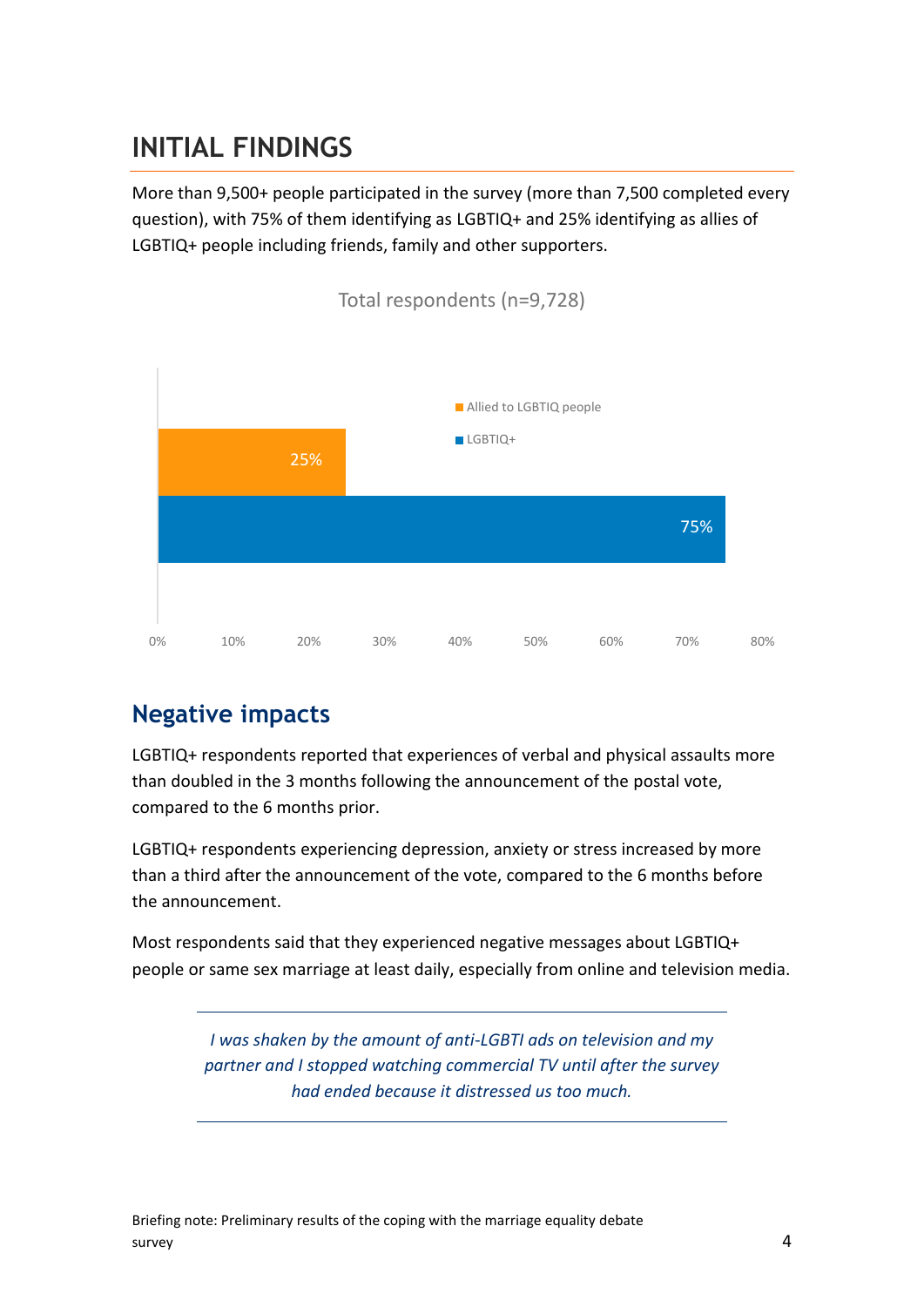### **INITIAL FINDINGS**

More than 9,500+ people participated in the survey (more than 7,500 completed every question), with 75% of them identifying as LGBTIQ+ and 25% identifying as allies of LGBTIQ+ people including friends, family and other supporters.



### **Negative impacts**

LGBTIQ+ respondents reported that experiences of verbal and physical assaults more than doubled in the 3 months following the announcement of the postal vote, compared to the 6 months prior.

LGBTIQ+ respondents experiencing depression, anxiety or stress increased by more than a third after the announcement of the vote, compared to the 6 months before the announcement.

Most respondents said that they experienced negative messages about LGBTIQ+ people or same sex marriage at least daily, especially from online and television media.

> *I was shaken by the amount of anti-LGBTI ads on television and my partner and I stopped watching commercial TV until after the survey had ended because it distressed us too much.*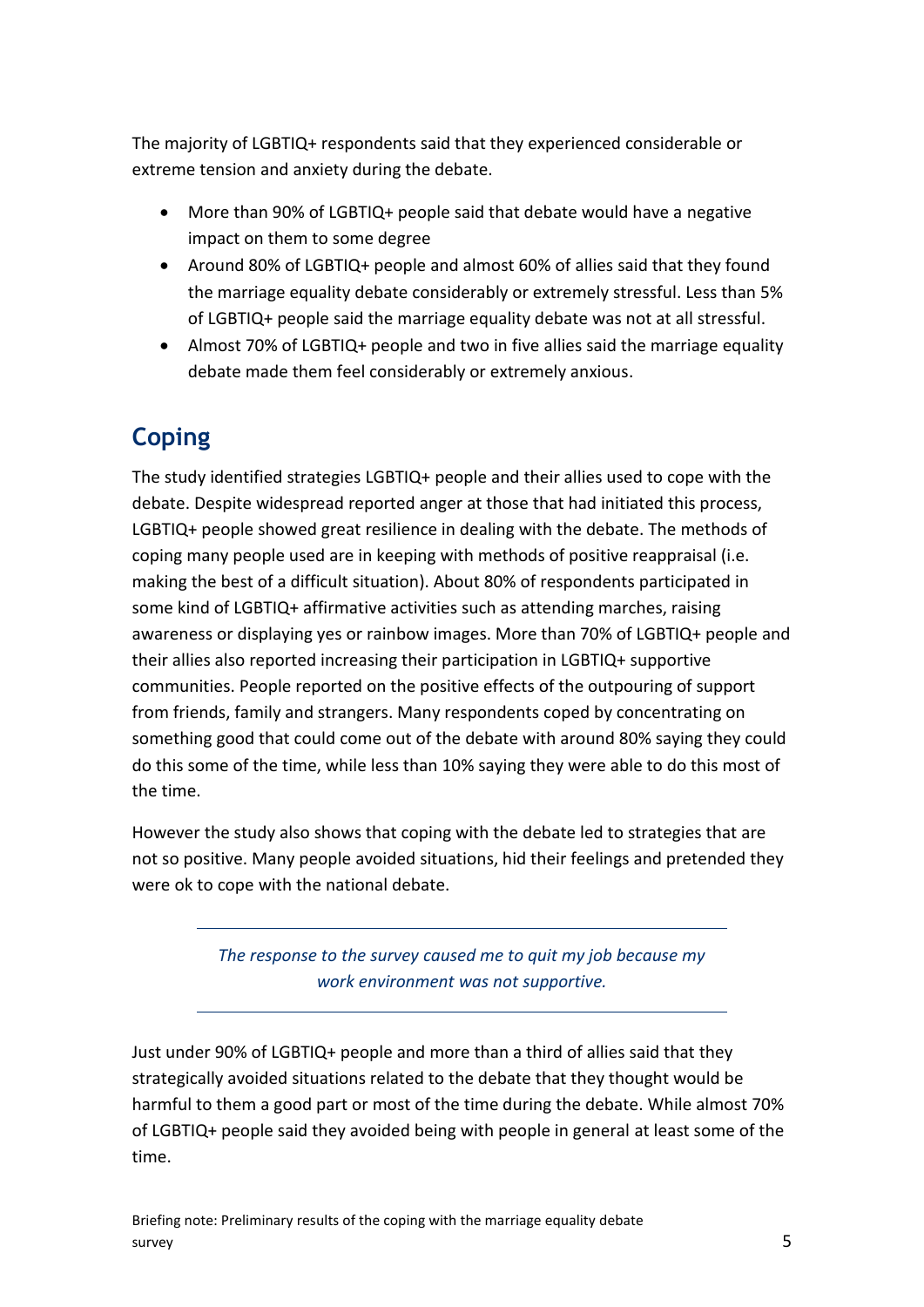The majority of LGBTIQ+ respondents said that they experienced considerable or extreme tension and anxiety during the debate.

- More than 90% of LGBTIQ+ people said that debate would have a negative impact on them to some degree
- Around 80% of LGBTIQ+ people and almost 60% of allies said that they found the marriage equality debate considerably or extremely stressful. Less than 5% of LGBTIQ+ people said the marriage equality debate was not at all stressful.
- Almost 70% of LGBTIQ+ people and two in five allies said the marriage equality debate made them feel considerably or extremely anxious.

### **Coping**

The study identified strategies LGBTIQ+ people and their allies used to cope with the debate. Despite widespread reported anger at those that had initiated this process, LGBTIQ+ people showed great resilience in dealing with the debate. The methods of coping many people used are in keeping with methods of positive reappraisal (i.e. making the best of a difficult situation). About 80% of respondents participated in some kind of LGBTIQ+ affirmative activities such as attending marches, raising awareness or displaying yes or rainbow images. More than 70% of LGBTIQ+ people and their allies also reported increasing their participation in LGBTIQ+ supportive communities. People reported on the positive effects of the outpouring of support from friends, family and strangers. Many respondents coped by concentrating on something good that could come out of the debate with around 80% saying they could do this some of the time, while less than 10% saying they were able to do this most of the time.

However the study also shows that coping with the debate led to strategies that are not so positive. Many people avoided situations, hid their feelings and pretended they were ok to cope with the national debate.

> *The response to the survey caused me to quit my job because my work environment was not supportive.*

Just under 90% of LGBTIQ+ people and more than a third of allies said that they strategically avoided situations related to the debate that they thought would be harmful to them a good part or most of the time during the debate. While almost 70% of LGBTIQ+ people said they avoided being with people in general at least some of the time.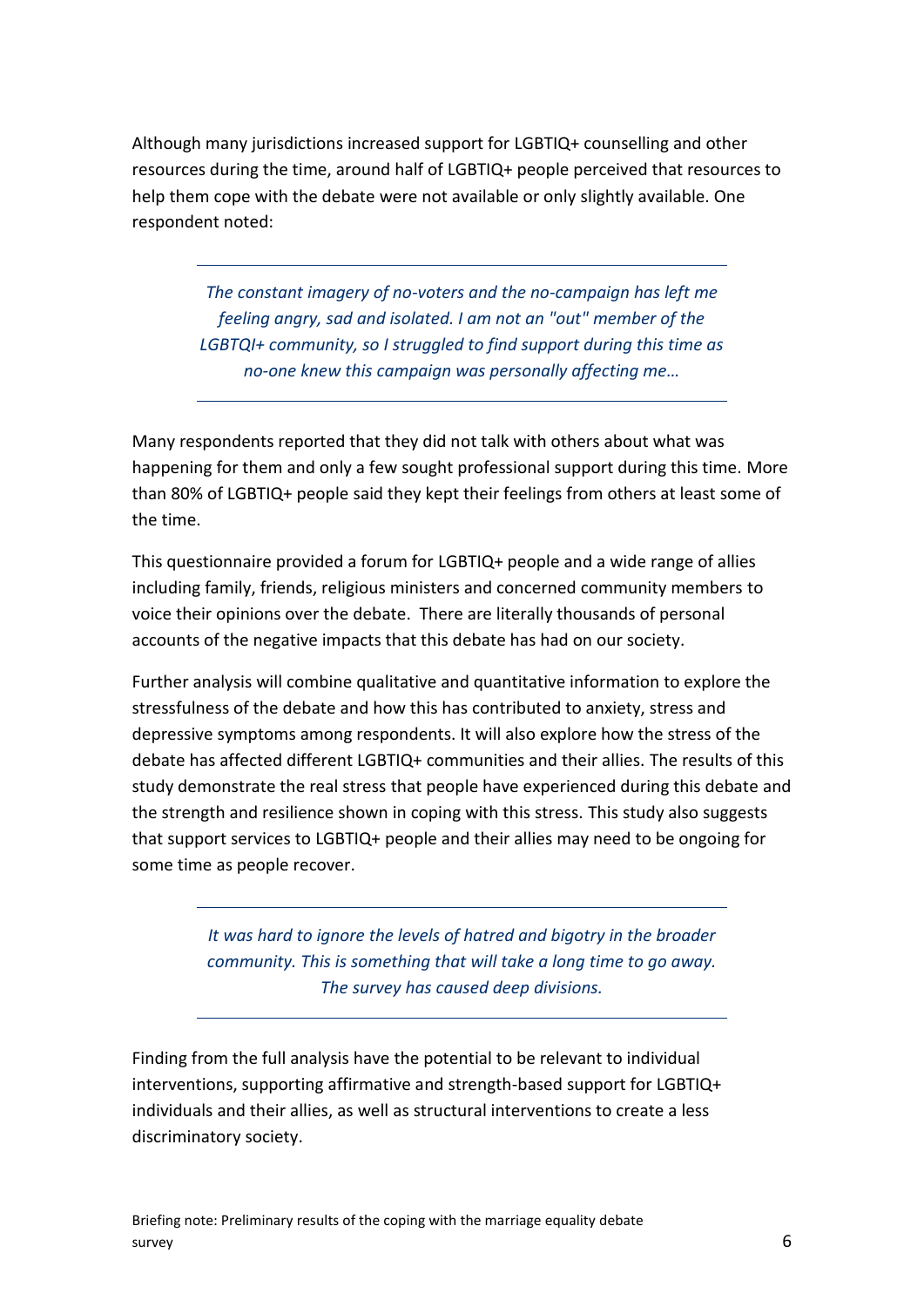Although many jurisdictions increased support for LGBTIQ+ counselling and other resources during the time, around half of LGBTIQ+ people perceived that resources to help them cope with the debate were not available or only slightly available. One respondent noted:

> *The constant imagery of no-voters and the no-campaign has left me feeling angry, sad and isolated. I am not an "out" member of the LGBTQI+ community, so I struggled to find support during this time as no-one knew this campaign was personally affecting me…*

Many respondents reported that they did not talk with others about what was happening for them and only a few sought professional support during this time. More than 80% of LGBTIQ+ people said they kept their feelings from others at least some of the time.

This questionnaire provided a forum for LGBTIQ+ people and a wide range of allies including family, friends, religious ministers and concerned community members to voice their opinions over the debate. There are literally thousands of personal accounts of the negative impacts that this debate has had on our society.

Further analysis will combine qualitative and quantitative information to explore the stressfulness of the debate and how this has contributed to anxiety, stress and depressive symptoms among respondents. It will also explore how the stress of the debate has affected different LGBTIQ+ communities and their allies. The results of this study demonstrate the real stress that people have experienced during this debate and the strength and resilience shown in coping with this stress. This study also suggests that support services to LGBTIQ+ people and their allies may need to be ongoing for some time as people recover.

> *It was hard to ignore the levels of hatred and bigotry in the broader community. This is something that will take a long time to go away. The survey has caused deep divisions.*

Finding from the full analysis have the potential to be relevant to individual interventions, supporting affirmative and strength-based support for LGBTIQ+ individuals and their allies, as well as structural interventions to create a less discriminatory society.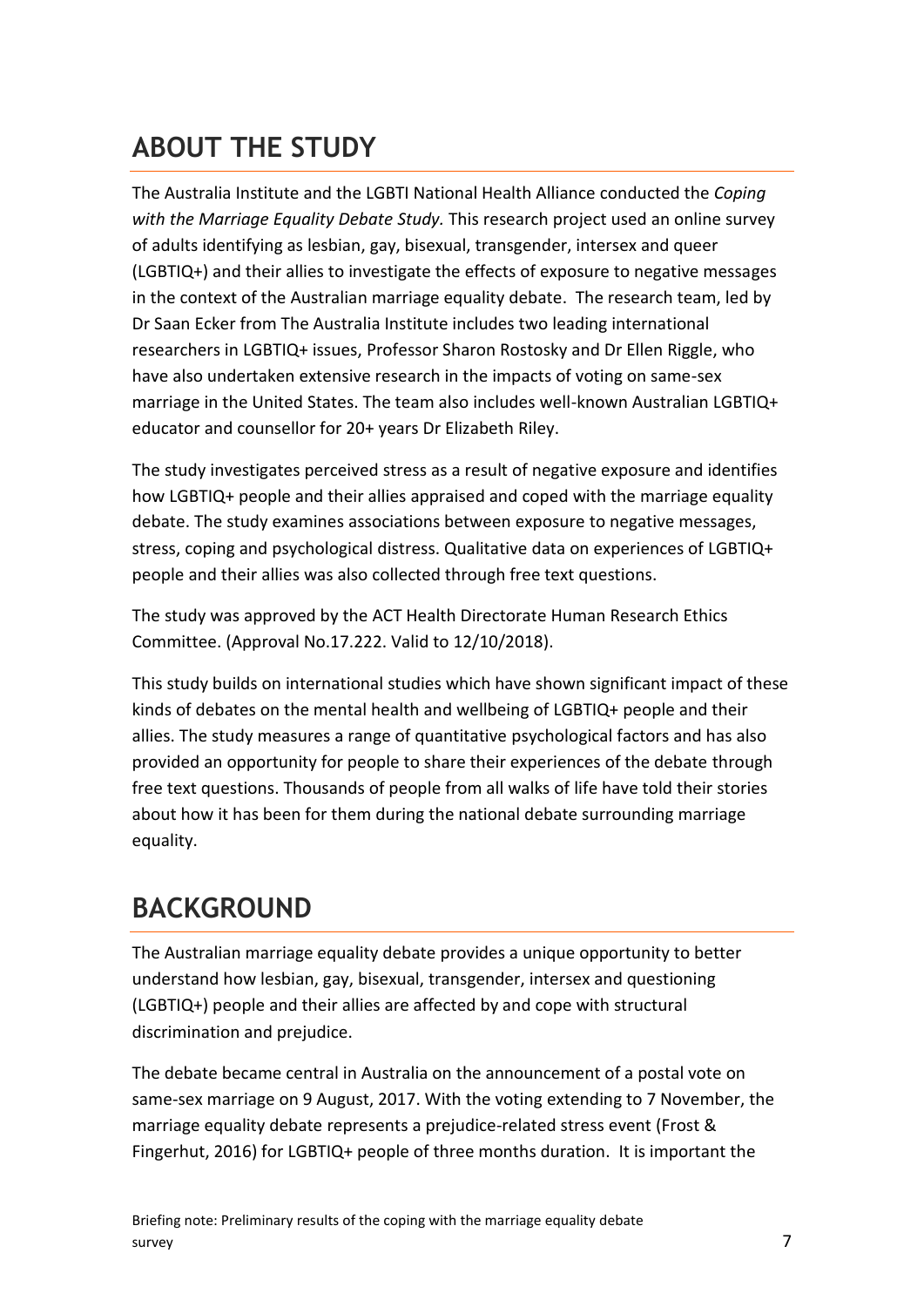## **ABOUT THE STUDY**

The Australia Institute and the LGBTI National Health Alliance conducted the *Coping with the Marriage Equality Debate Study.* This research project used an online survey of adults identifying as lesbian, gay, bisexual, transgender, intersex and queer (LGBTIQ+) and their allies to investigate the effects of exposure to negative messages in the context of the Australian marriage equality debate. The research team, led by Dr Saan Ecker from The Australia Institute includes two leading international researchers in LGBTIQ+ issues, Professor Sharon Rostosky and Dr Ellen Riggle, who have also undertaken extensive research in the impacts of voting on same-sex marriage in the United States. The team also includes well-known Australian LGBTIQ+ educator and counsellor for 20+ years Dr Elizabeth Riley.

The study investigates perceived stress as a result of negative exposure and identifies how LGBTIQ+ people and their allies appraised and coped with the marriage equality debate. The study examines associations between exposure to negative messages, stress, coping and psychological distress. Qualitative data on experiences of LGBTIQ+ people and their allies was also collected through free text questions.

The study was approved by the ACT Health Directorate Human Research Ethics Committee. (Approval No.17.222. Valid to 12/10/2018).

This study builds on international studies which have shown significant impact of these kinds of debates on the mental health and wellbeing of LGBTIQ+ people and their allies. The study measures a range of quantitative psychological factors and has also provided an opportunity for people to share their experiences of the debate through free text questions. Thousands of people from all walks of life have told their stories about how it has been for them during the national debate surrounding marriage equality.

### **BACKGROUND**

The Australian marriage equality debate provides a unique opportunity to better understand how lesbian, gay, bisexual, transgender, intersex and questioning (LGBTIQ+) people and their allies are affected by and cope with structural discrimination and prejudice.

The debate became central in Australia on the announcement of a postal vote on same-sex marriage on 9 August, 2017. With the voting extending to 7 November, the marriage equality debate represents a prejudice-related stress event [\(Frost &](#page-8-0)  [Fingerhut, 2016\)](#page-8-0) for LGBTIQ+ people of three months duration. It is important the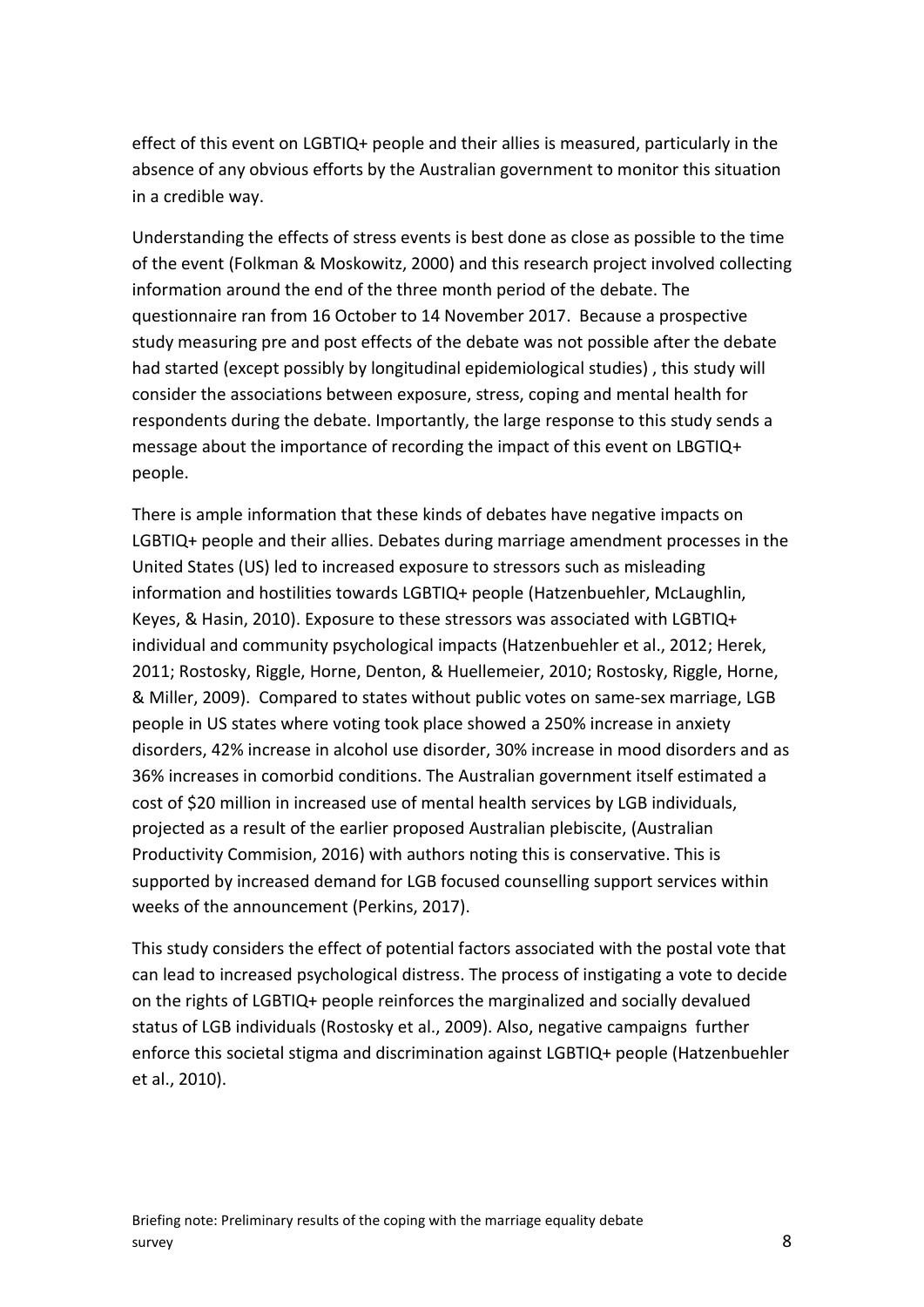effect of this event on LGBTIQ+ people and their allies is measured, particularly in the absence of any obvious efforts by the Australian government to monitor this situation in a credible way.

Understanding the effects of stress events is best done as close as possible to the time of the event [\(Folkman & Moskowitz, 2000\)](#page-8-1) and this research project involved collecting information around the end of the three month period of the debate. The questionnaire ran from 16 October to 14 November 2017. Because a prospective study measuring pre and post effects of the debate was not possible after the debate had started (except possibly by longitudinal epidemiological studies) , this study will consider the associations between exposure, stress, coping and mental health for respondents during the debate. Importantly, the large response to this study sends a message about the importance of recording the impact of this event on LBGTIQ+ people.

There is ample information that these kinds of debates have negative impacts on LGBTIQ+ people and their allies. Debates during marriage amendment processes in the United States (US) led to increased exposure to stressors such as misleading information and hostilities towards LGBTIQ+ people [\(Hatzenbuehler, McLaughlin,](#page-8-2)  [Keyes, & Hasin, 2010\)](#page-8-2). Exposure to these stressors was associated with LGBTIQ+ individual and community psychological impacts [\(Hatzenbuehler et al., 2012;](#page-8-3) [Herek,](#page-8-4)  [2011;](#page-8-4) [Rostosky, Riggle, Horne, Denton, & Huellemeier, 2010;](#page-8-5) [Rostosky, Riggle, Horne,](#page-8-6)  [& Miller, 2009\)](#page-8-6). Compared to states without public votes on same-sex marriage, LGB people in US states where voting took place showed a 250% increase in anxiety disorders, 42% increase in alcohol use disorder, 30% increase in mood disorders and as 36% increases in comorbid conditions. The Australian government itself estimated a cost of \$20 million in increased use of mental health services by LGB individuals, projected as a result of the earlier proposed Australian plebiscite, [\(Australian](#page-8-7)  [Productivity Commision, 2016\)](#page-8-7) with authors noting this is conservative. This is supported by increased demand for LGB focused counselling support services within weeks of the announcement [\(Perkins, 2017\)](#page-8-8).

This study considers the effect of potential factors associated with the postal vote that can lead to increased psychological distress. The process of instigating a vote to decide on the rights of LGBTIQ+ people reinforces the marginalized and socially devalued status of LGB individuals [\(Rostosky et al., 2009\)](#page-8-6). Also, negative campaigns further enforce this societal stigma and discrimination against LGBTIQ+ people [\(Hatzenbuehler](#page-8-2)  [et al., 2010\)](#page-8-2).